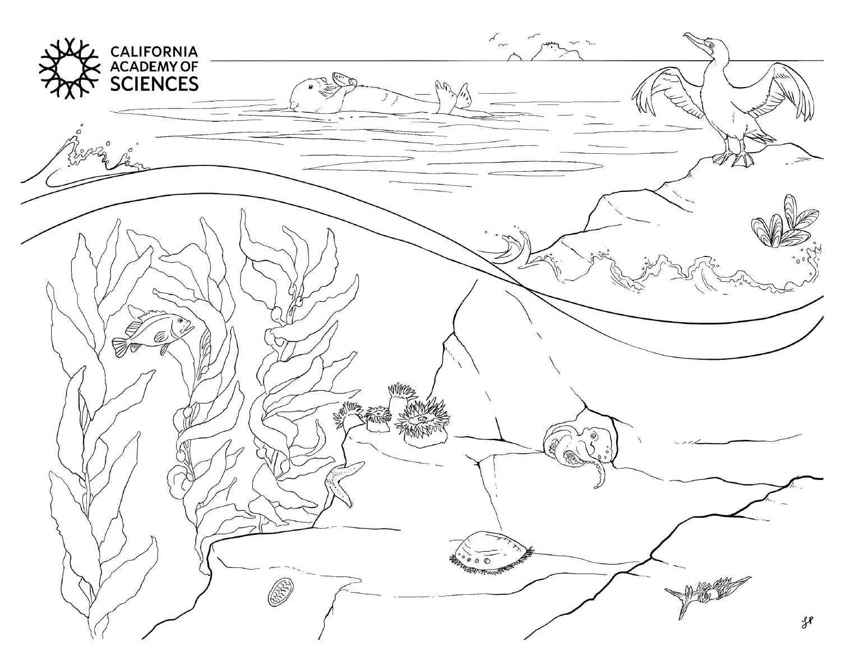